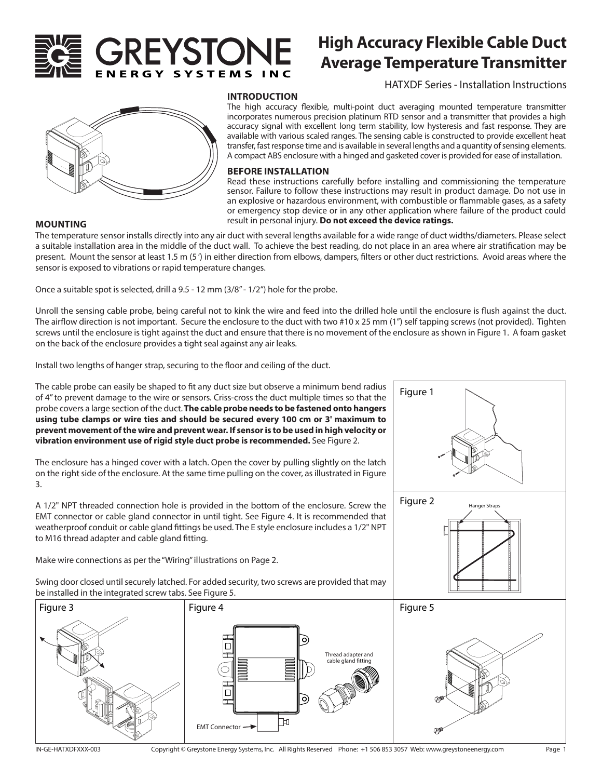

# **High Accuracy Flexible Cable Duct Average Temperature Transmitter**

HATXDF Series - Installation Instructions

Hanger Straps



#### **INTRODUCTION**

The high accuracy flexible, multi-point duct averaging mounted temperature transmitter incorporates numerous precision platinum RTD sensor and a transmitter that provides a high accuracy signal with excellent long term stability, low hysteresis and fast response. They are available with various scaled ranges. The sensing cable is constructed to provide excellent heat transfer, fast response time and is available in several lengths and a quantity of sensing elements. A compact ABS enclosure with a hinged and gasketed cover is provided for ease of installation.

### **BEFORE INSTALLATION**

Read these instructions carefully before installing and commissioning the temperature sensor. Failure to follow these instructions may result in product damage. Do not use in an explosive or hazardous environment, with combustible or flammable gases, as a safety or emergency stop device or in any other application where failure of the product could **MOUNTING result in personal injury. Do not exceed the device ratings.** 

Figure 1

Figure 2

The temperature sensor installs directly into any air duct with several lengths available for a wide range of duct widths/diameters. Please select a suitable installation area in the middle of the duct wall. To achieve the best reading, do not place in an area where air stratification may be present. Mount the sensor at least 1.5 m (5 ') in either direction from elbows, dampers, filters or other duct restrictions. Avoid areas where the sensor is exposed to vibrations or rapid temperature changes.

Once a suitable spot is selected, drill a 9.5 - 12 mm (3/8" - 1/2") hole for the probe.

Unroll the sensing cable probe, being careful not to kink the wire and feed into the drilled hole until the enclosure is flush against the duct. The airflow direction is not important. Secure the enclosure to the duct with two #10 x 25 mm (1") self tapping screws (not provided). Tighten screws until the enclosure is tight against the duct and ensure that there is no movement of the enclosure as shown in Figure 1. A foam gasket on the back of the enclosure provides a tight seal against any air leaks.

Install two lengths of hanger strap, securing to the floor and ceiling of the duct.

The cable probe can easily be shaped to fit any duct size but observe a minimum bend radius of 4" to prevent damage to the wire or sensors. Criss-cross the duct multiple times so that the probe covers a large section of the duct. **The cable probe needs to be fastened onto hangers using tube clamps or wire ties and should be secured every 100 cm or 3' maximum to prevent movement of the wire and prevent wear. If sensor is to be used in high velocity or vibration environment use of rigid style duct probe is recommended.** See Figure 2.

The enclosure has a hinged cover with a latch. Open the cover by pulling slightly on the latch on the right side of the enclosure. At the same time pulling on the cover, as illustrated in Figure 3.

A 1/2" NPT threaded connection hole is provided in the bottom of the enclosure. Screw the EMT connector or cable gland connector in until tight. See Figure 4. It is recommended that weatherproof conduit or cable gland fittings be used. The E style enclosure includes a 1/2" NPT to M16 thread adapter and cable gland fitting.

Make wire connections as per the "Wiring" illustrations on Page 2.

Swing door closed until securely latched. For added security, two screws are provided that may be installed in the integrated screw tabs. See Figure 5.